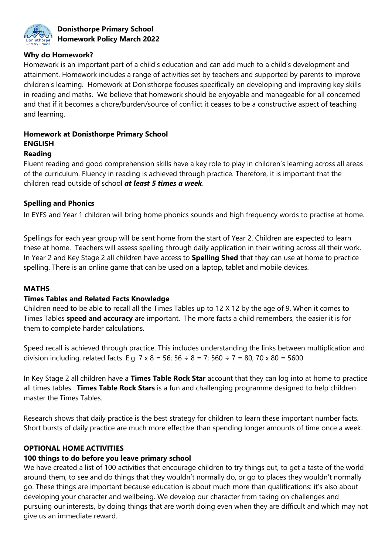

#### **Donisthorpe Primary School Homework Policy March 2022**

#### **Why do Homework?**

Homework is an important part of a child's education and can add much to a child's development and attainment. Homework includes a range of activities set by teachers and supported by parents to improve children's learning. Homework at Donisthorpe focuses specifically on developing and improving key skills in reading and maths. We believe that homework should be enjoyable and manageable for all concerned and that if it becomes a chore/burden/source of conflict it ceases to be a constructive aspect of teaching and learning.

## **Homework at Donisthorpe Primary School ENGLISH**

#### **Reading**

Fluent reading and good comprehension skills have a key role to play in children's learning across all areas of the curriculum. Fluency in reading is achieved through practice. Therefore, it is important that the children read outside of school *at least 5 times a week*.

### **Spelling and Phonics**

In EYFS and Year 1 children will bring home phonics sounds and high frequency words to practise at home.

Spellings for each year group will be sent home from the start of Year 2. Children are expected to learn these at home. Teachers will assess spelling through daily application in their writing across all their work. In Year 2 and Key Stage 2 all children have access to **Spelling Shed** that they can use at home to practice spelling. There is an online game that can be used on a laptop, tablet and mobile devices.

#### **MATHS**

#### **Times Tables and Related Facts Knowledge**

Children need to be able to recall all the Times Tables up to 12 X 12 by the age of 9. When it comes to Times Tables **speed and accuracy** are important. The more facts a child remembers, the easier it is for them to complete harder calculations.

Speed recall is achieved through practice. This includes understanding the links between multiplication and division including, related facts. E.g. 7 x 8 = 56; 56  $\div$  8 = 7; 560  $\div$  7 = 80; 70 x 80 = 5600

In Key Stage 2 all children have a **Times Table Rock Star** account that they can log into at home to practice all times tables. **Times Table Rock Stars** is a fun and challenging programme designed to help children master the Times Tables.

Research shows that daily practice is the best strategy for children to learn these important number facts. Short bursts of daily practice are much more effective than spending longer amounts of time once a week.

#### **OPTIONAL HOME ACTIVITIES**

#### **100 things to do before you leave primary school**

We have created a list of 100 activities that encourage children to try things out, to get a taste of the world around them, to see and do things that they wouldn't normally do, or go to places they wouldn't normally go. These things are important because education is about much more than qualifications: it's also about developing your character and wellbeing. We develop our character from taking on challenges and pursuing our interests, by doing things that are worth doing even when they are difficult and which may not give us an immediate reward.